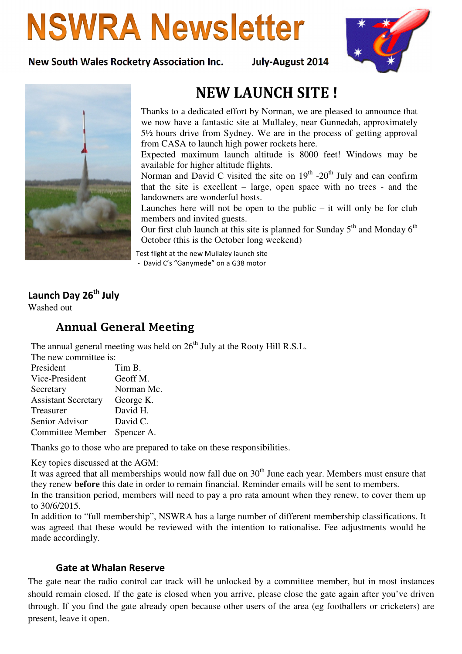# **NSWRA Newsletter**

#### New South Wales Rocketry Association Inc. July-August 2014





## NEW LAUNCH SITE !

Thanks to a dedicated effort by Norman, we are pleased to announce that we now have a fantastic site at Mullaley, near Gunnedah, approximately 5½ hours drive from Sydney. We are in the process of getting approval from CASA to launch high power rockets here.

Expected maximum launch altitude is 8000 feet! Windows may be available for higher altitude flights.

Norman and David C visited the site on  $19<sup>th</sup>$  -20<sup>th</sup> July and can confirm that the site is excellent – large, open space with no trees - and the landowners are wonderful hosts.

Launches here will not be open to the public  $-$  it will only be for club members and invited guests.

Our first club launch at this site is planned for Sunday  $5<sup>th</sup>$  and Monday  $6<sup>th</sup>$ October (this is the October long weekend)

Test flight at the new Mullaley launch site - David C's "Ganymede" on a G38 motor

### Launch Day 26<sup>th</sup> July

Washed out

## Annual General Meeting

The annual general meeting was held on  $26<sup>th</sup>$  July at the Rooty Hill R.S.L.

| The new committee is: |
|-----------------------|
|-----------------------|

| Tim B.     |
|------------|
| Geoff M.   |
| Norman Mc. |
| George K.  |
| David H.   |
| David C.   |
| Spencer A. |
|            |

Thanks go to those who are prepared to take on these responsibilities.

Key topics discussed at the AGM:

It was agreed that all memberships would now fall due on  $30<sup>th</sup>$  June each year. Members must ensure that they renew **before** this date in order to remain financial. Reminder emails will be sent to members.

In the transition period, members will need to pay a pro rata amount when they renew, to cover them up to 30/6/2015.

In addition to "full membership", NSWRA has a large number of different membership classifications. It was agreed that these would be reviewed with the intention to rationalise. Fee adjustments would be made accordingly.

#### Gate at Whalan Reserve

The gate near the radio control car track will be unlocked by a committee member, but in most instances should remain closed. If the gate is closed when you arrive, please close the gate again after you've driven through. If you find the gate already open because other users of the area (eg footballers or cricketers) are present, leave it open.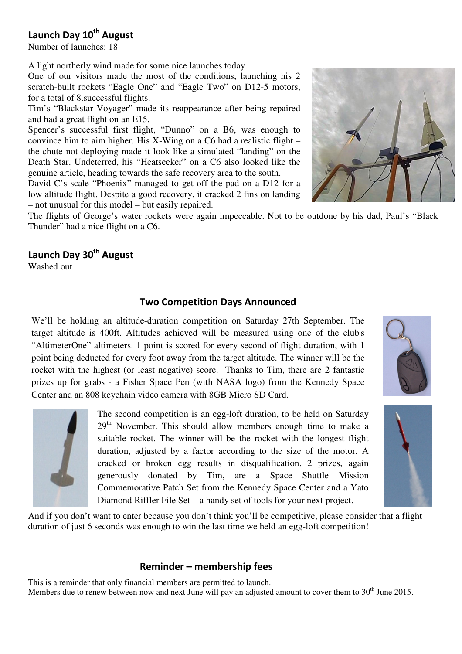## Launch Day 10<sup>th</sup> August

Number of launches: 18

A light northerly wind made for some nice launches today.

One of our visitors made the most of the conditions, launching his 2 scratch-built rockets "Eagle One" and "Eagle Two" on D12-5 motors, for a total of 8.successful flights.

Tim's "Blackstar Voyager" made its reappearance after being repaired and had a great flight on an E15.

Spencer's successful first flight, "Dunno" on a B6, was enough to convince him to aim higher. His X-Wing on a C6 had a realistic flight – the chute not deploying made it look like a simulated "landing" on the Death Star. Undeterred, his "Heatseeker" on a C6 also looked like the genuine article, heading towards the safe recovery area to the south.

David C's scale "Phoenix" managed to get off the pad on a D12 for a low altitude flight. Despite a good recovery, it cracked 2 fins on landing – not unusual for this model – but easily repaired.



The flights of George's water rockets were again impeccable. Not to be outdone by his dad, Paul's "Black Thunder" had a nice flight on a C6.

## Launch Day 30<sup>th</sup> August

Washed out

#### Two Competition Days Announced

We'll be holding an altitude-duration competition on Saturday 27th September. The target altitude is 400ft. Altitudes achieved will be measured using one of the club's "AltimeterOne" altimeters. 1 point is scored for every second of flight duration, with 1 point being deducted for every foot away from the target altitude. The winner will be the rocket with the highest (or least negative) score. Thanks to Tim, there are 2 fantastic prizes up for grabs - a Fisher Space Pen (with NASA logo) from the Kennedy Space Center and an 808 keychain video camera with 8GB Micro SD Card.



The second competition is an egg-loft duration, to be held on Saturday 29<sup>th</sup> November. This should allow members enough time to make a suitable rocket. The winner will be the rocket with the longest flight duration, adjusted by a factor according to the size of the motor. A cracked or broken egg results in disqualification. 2 prizes, again generously donated by Tim, are a Space Shuttle Mission Commemorative Patch Set from the Kennedy Space Center and a Yato Diamond Riffler File Set – a handy set of tools for your next project.





And if you don't want to enter because you don't think you'll be competitive, please consider that a flight duration of just 6 seconds was enough to win the last time we held an egg-loft competition!

#### Reminder – membership fees

This is a reminder that only financial members are permitted to launch. Members due to renew between now and next June will pay an adjusted amount to cover them to  $30<sup>th</sup>$  June 2015.